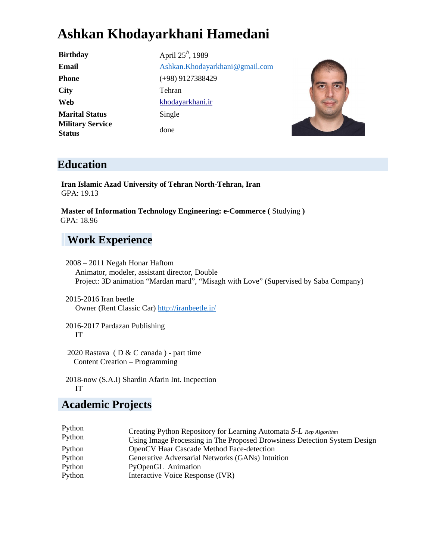# **Ashkan Khodayarkhani Hamedani**

**City** Tehran **Marital Status** Single **Military Service Status** done

**Birthday** April 25<sup>h</sup>, 1989 **Email** Ashkan.Khodayarkhani@gmail.com **Phone** (+98) 9127388429 Web khodayarkhani.ir



#### **Education**

**Iran Islamic Azad University of Tehran North-Tehran, Iran** GPA: 19.13

**Master of Information Technology Engineering: e-Commerce (** Studying **)** GPA: 18.96

# **Work Experience**

- 2008 2011 Negah Honar Haftom Animator, modeler, assistant director, Double Project: 3D animation "Mardan mard", "Misagh with Love" (Supervised by Saba Company)
- 2015-2016 Iran beetle Owner (Rent Classic Car) http://iranbeetle.ir/

2016-2017 Pardazan Publishing IT

2020 Rastava ( D & C canada ) - part time Content Creation – Programming

2018-now (S.A.I) Shardin Afarin Int. Incpection IT

#### **Academic Projects**

| Python<br>Python | Creating Python Repository for Learning Automata S-L Rep Algorithm        |
|------------------|---------------------------------------------------------------------------|
|                  | Using Image Processing in The Proposed Drowsiness Detection System Design |
| Python           | OpenCV Haar Cascade Method Face-detection                                 |
| Python           | Generative Adversarial Networks (GANs) Intuition                          |
| Python           | PyOpenGL Animation                                                        |
| Python           | Interactive Voice Response (IVR)                                          |